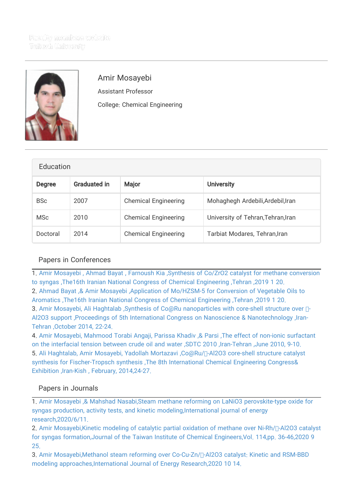

## Amir Mosayebi

Assistant Professor College: Chemical Engineering

| Education     |                     |                             |                                    |
|---------------|---------------------|-----------------------------|------------------------------------|
| <b>Degree</b> | <b>Graduated in</b> | <b>Major</b>                | <b>University</b>                  |
| <b>BSc</b>    | 2007                | <b>Chemical Engineering</b> | Mohaghegh Ardebili, Ardebil, Iran  |
| <b>MSc</b>    | 2010                | <b>Chemical Engineering</b> | University of Tehran, Tehran, Iran |
| Doctoral      | 2014                | <b>Chemical Engineering</b> | Tarbiat Modares, Tehran, Iran      |

## Papers in Conferences

1. [Amir Mosayebi , Ahmad Bayat , Farnoush Kia ,Synthesis of Co/ZrO2 catalyst for methane conversion](http://faculty.tafreshu.ac.ir/mosayebi/en/articlesInConferences/708/synthesis-of-co-zro2-catalyst-for-methane-conversion-to-syngas) [to syngas ,The16th Iranian National Congress of Chemical Engineering ,Tehran ,2019 1 20.](http://faculty.tafreshu.ac.ir/mosayebi/en/articlesInConferences/708/synthesis-of-co-zro2-catalyst-for-methane-conversion-to-syngas) 2. [Ahmad Bayat ,& Amir Mosayebi ,Application of Mo/HZSM-5 for Conversion of Vegetable Oils to](http://faculty.tafreshu.ac.ir/mosayebi/en/articlesInConferences/709/application-of-mo-hzsm-5-for-conversion-of-vegetable-oils-to-aromatics) [Aromatics ,The16th Iranian National Congress of Chemical Engineering ,Tehran ,2019 1 20.](http://faculty.tafreshu.ac.ir/mosayebi/en/articlesInConferences/709/application-of-mo-hzsm-5-for-conversion-of-vegetable-oils-to-aromatics) 3. Amir Mosayebi, Ali Haghtalab ,Synthesis of Co@Ru nanoparticles with core-shell structure over η-[Al2O3 support ,Proceedings of 5th International Congress on Nanoscience & Nanotechnology ,Iran-](http://faculty.tafreshu.ac.ir/mosayebi/en/articlesInConferences/217/synthesis-of-co%40ru-nanoparticles-with-core-shell-structure-over-al2o3-support)[Tehran ,October 2014, 22-24.](http://faculty.tafreshu.ac.ir/mosayebi/en/articlesInConferences/217/synthesis-of-co%40ru-nanoparticles-with-core-shell-structure-over-al2o3-support)

4. [Amir Mosayebi, Mahmood Torabi Angaji, Parissa Khadiv ,& Parsi ,The effect of non-ionic surfactant](http://faculty.tafreshu.ac.ir/mosayebi/en/articlesInConferences/218/the-effect-of-non-ionic-surfactant-on-the-interfacial-tension-between-crude-oil-and-water) [on the interfacial tension between crude oil and water ,SDTC 2010 ,Iran-Tehran ,June 2010, 9-10.](http://faculty.tafreshu.ac.ir/mosayebi/en/articlesInConferences/218/the-effect-of-non-ionic-surfactant-on-the-interfacial-tension-between-crude-oil-and-water) 5. [Ali Haghtalab, Amir Mosayebi, Yadollah Mortazavi ,Co@Ru/γ-Al2O3 core-shell structure catalyst](http://faculty.tafreshu.ac.ir/mosayebi/en/articlesInConferences/216/co%40ru-al2o3-core-shell-structure-catalyst-synthesis-for-fischer-tropsch-synthesis) [synthesis for Fischer-Tropsch synthesis ,The 8th International Chemical Engineering Congress&](http://faculty.tafreshu.ac.ir/mosayebi/en/articlesInConferences/216/co%40ru-al2o3-core-shell-structure-catalyst-synthesis-for-fischer-tropsch-synthesis) [Exhibition ,Iran-Kish , February, 2014,24-27.](http://faculty.tafreshu.ac.ir/mosayebi/en/articlesInConferences/216/co%40ru-al2o3-core-shell-structure-catalyst-synthesis-for-fischer-tropsch-synthesis)

## Papers in Journals

1. [Amir Mosayebi ,& Mahshad Nasabi,Steam methane reforming on LaNiO3 perovskite-type oxide for](http://faculty.tafreshu.ac.ir/mosayebi/en/articlesInPublications/879/steam-methane-reforming-on-lanio3-perovskite-type-oxide-for-syngas-production-activity-tests-and-kinetic-modeling) syngas production, activity tests, and kinetic modeling, International journal of energy [research,2020/6/11.](http://faculty.tafreshu.ac.ir/mosayebi/en/articlesInPublications/879/steam-methane-reforming-on-lanio3-perovskite-type-oxide-for-syngas-production-activity-tests-and-kinetic-modeling)

2. Amir Mosayebi, Kinetic modeling of catalytic partial oxidation of methane over Ni-Rh/□-Al2O3 catalyst [for syngas formation,Journal of the Taiwan Institute of Chemical Engineers,Vol. 114,pp. 36-46,2020 9](http://faculty.tafreshu.ac.ir/mosayebi/en/articlesInPublications/911/kinetic-modeling-of-catalytic-partial-oxidation-of-methane-over-ni-rh-al2o3-catalyst-for-syngas-formation) [25.](http://faculty.tafreshu.ac.ir/mosayebi/en/articlesInPublications/911/kinetic-modeling-of-catalytic-partial-oxidation-of-methane-over-ni-rh-al2o3-catalyst-for-syngas-formation)

3. Amir Mosayebi,Methanol steam reforming over Co-Cu-Zn/[]-Al2O3 catalyst: Kinetic and RSM-BBD [modeling approaches,International Journal of Energy Research,2020 10 14.](http://faculty.tafreshu.ac.ir/mosayebi/en/articlesInPublications/913/methanol-steam-reforming-over-co-cu-zn-al2o3-catalyst-kinetic-and-rsm-bbd-modeling-approaches)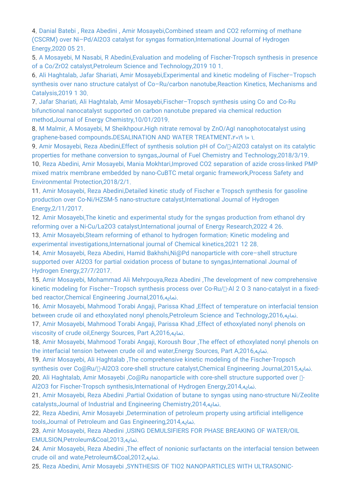4. [Danial Batebi , Reza Abedini , Amir Mosayebi,Combined steam and CO2 reforming of methane](http://faculty.tafreshu.ac.ir/mosayebi/en/articlesInPublications/878/combined-steam-and-co2-reforming-of-methane-cscrm-over-ni-pd-al2o3-catalyst-for-syngas-formation) [\(CSCRM\) over Ni–Pd/Al2O3 catalyst for syngas formation,International Journal of Hydrogen](http://faculty.tafreshu.ac.ir/mosayebi/en/articlesInPublications/878/combined-steam-and-co2-reforming-of-methane-cscrm-over-ni-pd-al2o3-catalyst-for-syngas-formation) [Energy,2020 05 21.](http://faculty.tafreshu.ac.ir/mosayebi/en/articlesInPublications/878/combined-steam-and-co2-reforming-of-methane-cscrm-over-ni-pd-al2o3-catalyst-for-syngas-formation)

5. [A Mosayebi, M Nasabi, R Abedini,Evaluation and modeling of Fischer-Tropsch synthesis in presence](http://faculty.tafreshu.ac.ir/mosayebi/en/articlesInPublications/877/evaluation-and-modeling-of-fischer-tropsch-synthesis-in-presence-of-a-co-zro2-catalyst) [of a Co/ZrO2 catalyst,Petroleum Science and Technology,2019 10 1.](http://faculty.tafreshu.ac.ir/mosayebi/en/articlesInPublications/877/evaluation-and-modeling-of-fischer-tropsch-synthesis-in-presence-of-a-co-zro2-catalyst)

6. [Ali Haghtalab, Jafar Shariati, Amir Mosayebi,Experimental and kinetic modeling of Fischer–Tropsch](http://faculty.tafreshu.ac.ir/mosayebi/en/articlesInPublications/875/experimental-and-kinetic-modeling-of-fischer-tropsch-synthesis-over-nano-structure-catalyst-of-co-ru-carbon-nanotube) synthesis over nano structure catalyst of Co-Ru/carbon nanotube, Reaction Kinetics, Mechanisms and [Catalysis,2019 1 30.](http://faculty.tafreshu.ac.ir/mosayebi/en/articlesInPublications/875/experimental-and-kinetic-modeling-of-fischer-tropsch-synthesis-over-nano-structure-catalyst-of-co-ru-carbon-nanotube)

7. [Jafar Shariati, Ali Haghtalab, Amir Mosayebi,Fischer–Tropsch synthesis using Co and Co-Ru](http://faculty.tafreshu.ac.ir/mosayebi/en/articlesInPublications/874/fischer-tropsch-synthesis-using-co-and-co-ru-bifunctional-nanocatalyst-supported-on-carbon-nanotube-prepared-via-chemical-reduction-method) [bifunctional nanocatalyst supported on carbon nanotube prepared via chemical reduction](http://faculty.tafreshu.ac.ir/mosayebi/en/articlesInPublications/874/fischer-tropsch-synthesis-using-co-and-co-ru-bifunctional-nanocatalyst-supported-on-carbon-nanotube-prepared-via-chemical-reduction-method) [method,Journal of Energy Chemistry,10/01/2019.](http://faculty.tafreshu.ac.ir/mosayebi/en/articlesInPublications/874/fischer-tropsch-synthesis-using-co-and-co-ru-bifunctional-nanocatalyst-supported-on-carbon-nanotube-prepared-via-chemical-reduction-method)

8. M Malmir, A Mosayebi, M Sheikhpour، High nitrate removal by ZnO/AgI nanophotocatalyst using graphene-based compounds،DESALINATION AND WATER TREATMENT، ۲۰۱۹ ۱۰ ۱.

9. Amir Mosayebi, Reza Abedini, Effect of synthesis solution pH of Co/<sub>Π</sub>-Al2O3 catalyst on its catalytic [properties for methane conversion to syngas,Journal of Fuel Chemistry and Technology,2018/3/19.](http://faculty.tafreshu.ac.ir/mosayebi/en/articlesInPublications/873/effect-of-synthesis-solution-ph-of-co-al2o3-catalyst-on-its-catalytic-properties-for-methane-conversion-to-syngas) 10. [Reza Abedini, Amir Mosayebi, Mania Mokhtari,Improved CO2 separation of azide cross-linked PMP](http://faculty.tafreshu.ac.ir/mosayebi/en/articlesInPublications/872/improved-co2-separation-of-azide-cross-linked-pmp-mixed-matrix-membrane-embedded-by-nano-cubtc-metal-organic-framework) [mixed matrix membrane embedded by nano-CuBTC metal organic framework,Process Safety and](http://faculty.tafreshu.ac.ir/mosayebi/en/articlesInPublications/872/improved-co2-separation-of-azide-cross-linked-pmp-mixed-matrix-membrane-embedded-by-nano-cubtc-metal-organic-framework) [Environmental Protection,2018/2/1.](http://faculty.tafreshu.ac.ir/mosayebi/en/articlesInPublications/872/improved-co2-separation-of-azide-cross-linked-pmp-mixed-matrix-membrane-embedded-by-nano-cubtc-metal-organic-framework)

11. [Amir Mosayebi, Reza Abedini,Detailed kinetic study of Fischer e Tropsch synthesis for gasoline](http://faculty.tafreshu.ac.ir/mosayebi/en/articlesInPublications/871/detailed-kinetic-study-of-fischer-e-tropsch-synthesis-for-gasoline-production-over-co-ni-hzsm-5-nano-structure-catalyst) [production over Co-Ni/HZSM-5 nano-structure catalyst,International Journal of Hydrogen](http://faculty.tafreshu.ac.ir/mosayebi/en/articlesInPublications/871/detailed-kinetic-study-of-fischer-e-tropsch-synthesis-for-gasoline-production-over-co-ni-hzsm-5-nano-structure-catalyst) [Energy,2/11/2017.](http://faculty.tafreshu.ac.ir/mosayebi/en/articlesInPublications/871/detailed-kinetic-study-of-fischer-e-tropsch-synthesis-for-gasoline-production-over-co-ni-hzsm-5-nano-structure-catalyst)

12. [Amir Mosayebi,The kinetic and experimental study for the syngas production from ethanol dry](http://faculty.tafreshu.ac.ir/mosayebi/en/articlesInPublications/1196/the-kinetic-and-experimental-study-for-the-syngas-production-from-ethanol-dry-reforming-over-a-ni-cu-la2o3-catalyst) [reforming over a Ni-Cu/La2O3 catalyst,International journal of Energy Research,2022 4 26.](http://faculty.tafreshu.ac.ir/mosayebi/en/articlesInPublications/1196/the-kinetic-and-experimental-study-for-the-syngas-production-from-ethanol-dry-reforming-over-a-ni-cu-la2o3-catalyst)

13. [Amir Mosayebi,Steam reforming of ethanol to hydrogen formation: Kinetic modeling and](http://faculty.tafreshu.ac.ir/mosayebi/en/articlesInPublications/1155/steam-reforming-of-ethanol-to-hydrogen-formation-kinetic-modeling-and-experimental-investigations) [experimental investigations,International journal of Chemical kinetics,2021 12 28.](http://faculty.tafreshu.ac.ir/mosayebi/en/articlesInPublications/1155/steam-reforming-of-ethanol-to-hydrogen-formation-kinetic-modeling-and-experimental-investigations)

14. [Amir Mosayebi, Reza Abedini, Hamid Bakhshi,Ni@Pd nanoparticle with core–shell structure](http://faculty.tafreshu.ac.ir/mosayebi/en/articlesInPublications/870/ni%40pd-nanoparticle-with-core-shell-structure-supported-over-al2o3-for-partial-oxidation-process-of-butane-to-syngas) supported over Al2O3 for partial oxidation process of butane to syngas, International Journal of [Hydrogen Energy,27/7/2017.](http://faculty.tafreshu.ac.ir/mosayebi/en/articlesInPublications/870/ni%40pd-nanoparticle-with-core-shell-structure-supported-over-al2o3-for-partial-oxidation-process-of-butane-to-syngas)

15. [Amir Mosayebi, Mohammad Ali Mehrpouya,Reza Abedini ,The development of new comprehensive](http://faculty.tafreshu.ac.ir/mosayebi/en/articlesInPublications/252/the-development-of-new-comprehensive-kinetic-modeling-for-fischer-tropsch-synthesis-process-over-co-ru-al-2-o-3-nano-catalyst-in-a-fixed-bed-reactor) kinetic modeling for Fischer-Tropsch synthesis process over Co-Ru/<sub>[1</sub>-Al 2 O 3 nano-catalyst in a fixed[bed reactor,Chemical Engineering Journal,2016,نمایه.](http://faculty.tafreshu.ac.ir/mosayebi/en/articlesInPublications/252/the-development-of-new-comprehensive-kinetic-modeling-for-fischer-tropsch-synthesis-process-over-co-ru-al-2-o-3-nano-catalyst-in-a-fixed-bed-reactor)

16. [Amir Mosayebi, Mahmood Torabi Angaji, Parissa Khad ,Effect of temperature on interfacial tension](http://faculty.tafreshu.ac.ir/mosayebi/en/articlesInPublications/253/effect-of-temperature-on-interfacial-tension-between-crude-oil-and-ethoxylated-nonyl-phenols) [between crude oil and ethoxylated nonyl phenols,Petroleum Science and Technology,2016,نمایه.](http://faculty.tafreshu.ac.ir/mosayebi/en/articlesInPublications/253/effect-of-temperature-on-interfacial-tension-between-crude-oil-and-ethoxylated-nonyl-phenols)

17. [Amir Mosayebi, Mahmood Torabi Angaji, Parissa Khad ,Effect of ethoxylated nonyl phenols on](http://faculty.tafreshu.ac.ir/mosayebi/en/articlesInPublications/254/effect-of-ethoxylated-nonyl-phenols-on-viscosity-of-crude-oil) [viscosity of crude oil,Energy Sources, Part A,2016,نمایه.](http://faculty.tafreshu.ac.ir/mosayebi/en/articlesInPublications/254/effect-of-ethoxylated-nonyl-phenols-on-viscosity-of-crude-oil)

18. [Amir Mosayebi, Mahmood Torabi Angaji, Koroush Bour ,The effect of ethoxylated nonyl phenols on](http://faculty.tafreshu.ac.ir/mosayebi/en/articlesInPublications/255/the-effect-of-ethoxylated-nonyl-phenols-on-the-interfacial-tension-between-crude-oil-and-water) [the interfacial tension between crude oil and water,Energy Sources, Part A,2016,نمایه.](http://faculty.tafreshu.ac.ir/mosayebi/en/articlesInPublications/255/the-effect-of-ethoxylated-nonyl-phenols-on-the-interfacial-tension-between-crude-oil-and-water)

19. [Amir Mosayebi, Ali Haghtalab ,The comprehensive kinetic modeling of the Fischer-Tropsch](http://faculty.tafreshu.ac.ir/mosayebi/en/articlesInPublications/256/the-comprehensive-kinetic-modeling-of-the-fischer-tropsch-synthesis-over-co%40ru-al2o3-core-shell-structure-catalyst) synthesis over Co@Ru/∏-Al2O3 core-shell structure catalyst,Chemical Engineering Journal,2015, نمایه. 20. Ali Haghtalab, Amir Mosayebi ,Co@Ru nanoparticle with core-shell structure supported over η-

[Al2O3 for Fischer-Tropsch synthesis,International of Hydrogen Energy,2014,نمایه.](http://faculty.tafreshu.ac.ir/mosayebi/en/articlesInPublications/257/co%40ru-nanoparticle-with-core-shell-structure-supported-over-al2o3-for-fischer-tropsch-synthesis)

21. [Amir Mosayebi, Reza Abedini ,Partial Oxidation of butane to syngas using nano-structure Ni/Zeolite](http://faculty.tafreshu.ac.ir/mosayebi/en/articlesInPublications/258/partial-oxidation-of-butane-to-syngas-using-nano-structure-ni-zeolite-catalysts) [catalysts,Journal of Industrial and Engineering Chemistry,2014,نمایه.](http://faculty.tafreshu.ac.ir/mosayebi/en/articlesInPublications/258/partial-oxidation-of-butane-to-syngas-using-nano-structure-ni-zeolite-catalysts)

22. [Reza Abedini, Amir Mosayebi ,Determination of petroleum property using artificial intelligence](http://faculty.tafreshu.ac.ir/mosayebi/en/articlesInPublications/261/determination-of-petroleum-property-using-artificial-intelligence-tools) [tools,Journal of Petroleum and Gas Engineering,2014,نمایه.](http://faculty.tafreshu.ac.ir/mosayebi/en/articlesInPublications/261/determination-of-petroleum-property-using-artificial-intelligence-tools)

23. [Amir Mosayebi, Reza Abedini ,USING DEMULSIFIERS FOR PHASE BREAKING OF WATER/OIL](http://faculty.tafreshu.ac.ir/mosayebi/en/articlesInPublications/260/using-demulsifiers-for-phase-breaking-of-water-oil-emulsion) [EMULSION,Petroleum&Coal,2013,نمایه.](http://faculty.tafreshu.ac.ir/mosayebi/en/articlesInPublications/260/using-demulsifiers-for-phase-breaking-of-water-oil-emulsion)

24. [Amir Mosayebi, Reza Abedini ,The effect of nonionic surfactants on the interfacial tension between](http://faculty.tafreshu.ac.ir/mosayebi/en/articlesInPublications/259/the-effect-of-nonionic-surfactants-on-the-interfacial-tension-between-crude-oil-and-wate) [crude oil and wate,Petroleum&Coal,2012,نمایه.](http://faculty.tafreshu.ac.ir/mosayebi/en/articlesInPublications/259/the-effect-of-nonionic-surfactants-on-the-interfacial-tension-between-crude-oil-and-wate)

25. [Reza Abedini, Amir Mosayebi ,SYNTHESIS OF TIO2 NANOPARTICLES WITH ULTRASONIC-](http://faculty.tafreshu.ac.ir/mosayebi/en/articlesInPublications/262/synthesis-of-tio2-nanoparticles-with-ultrasonic-assisted-method)